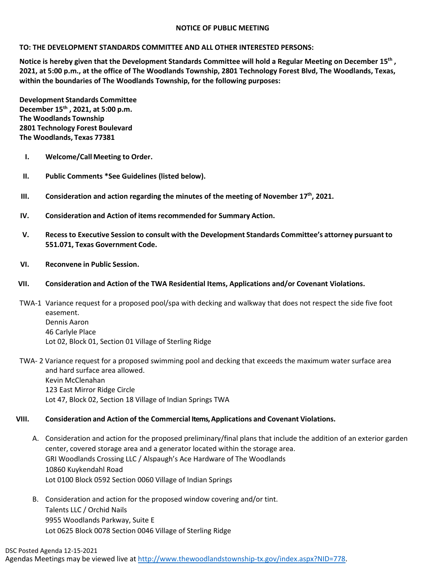### **NOTICE OF PUBLIC MEETING**

### **TO: THE DEVELOPMENT STANDARDS COMMITTEE AND ALL OTHER INTERESTED PERSONS:**

**Notice is hereby given that the Development Standards Committee will hold a Regular Meeting on December 15th , 2021, at 5:00 p.m., at the office of The Woodlands Township, 2801 Technology Forest Blvd, The Woodlands, Texas, within the boundaries of The Woodlands Township, for the following purposes:**

**Development Standards Committee December 15th , 2021, at 5:00 p.m. The Woodlands Township 2801 Technology Forest Boulevard The Woodlands, Texas 77381**

- **I. Welcome/Call Meeting to Order.**
- **II. Public Comments \*See Guidelines (listed below).**
- **III.** Consideration and action regarding the minutes of the meeting of November 17<sup>th</sup>, 2021.
- **IV. Consideration and Action of items recommended for Summary Action.**
- **V. Recessto Executive Session to consult with the Development Standards Committee's attorney pursuant to 551.071, Texas Government Code.**
- **VI. Reconvene in Public Session.**

## **VII. Consideration and Action of the TWA Residential Items, Applications and/or Covenant Violations.**

TWA-1 Variance request for a proposed pool/spa with decking and walkway that does not respect the side five foot easement. Dennis Aaron 46 Carlyle Place Lot 02, Block 01, Section 01 Village of Sterling Ridge

# TWA- 2 Variance request for a proposed swimming pool and decking that exceeds the maximum water surface area and hard surface area allowed. Kevin McClenahan 123 East Mirror Ridge Circle Lot 47, Block 02, Section 18 Village of Indian Springs TWA

## **VIII. Consideration and Action of the Commercial Items, Applications and Covenant Violations.**

- A. Consideration and action for the proposed preliminary/final plans that include the addition of an exterior garden center, covered storage area and a generator located within the storage area. GRI Woodlands Crossing LLC / Alspaugh's Ace Hardware of The Woodlands 10860 Kuykendahl Road Lot 0100 Block 0592 Section 0060 Village of Indian Springs
- B. Consideration and action for the proposed window covering and/or tint. Talents LLC / Orchid Nails 9955 Woodlands Parkway, Suite E Lot 0625 Block 0078 Section 0046 Village of Sterling Ridge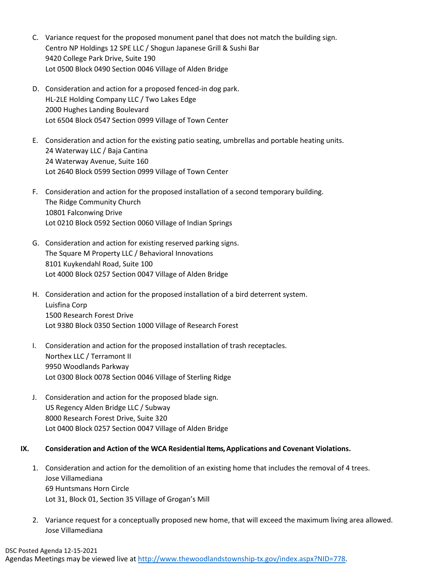- C. Variance request for the proposed monument panel that does not match the building sign. Centro NP Holdings 12 SPE LLC / Shogun Japanese Grill & Sushi Bar 9420 College Park Drive, Suite 190 Lot 0500 Block 0490 Section 0046 Village of Alden Bridge
- D. Consideration and action for a proposed fenced-in dog park. HL-2LE Holding Company LLC / Two Lakes Edge 2000 Hughes Landing Boulevard Lot 6504 Block 0547 Section 0999 Village of Town Center
- E. Consideration and action for the existing patio seating, umbrellas and portable heating units. 24 Waterway LLC / Baja Cantina 24 Waterway Avenue, Suite 160 Lot 2640 Block 0599 Section 0999 Village of Town Center
- F. Consideration and action for the proposed installation of a second temporary building. The Ridge Community Church 10801 Falconwing Drive Lot 0210 Block 0592 Section 0060 Village of Indian Springs
- G. Consideration and action for existing reserved parking signs. The Square M Property LLC / Behavioral Innovations 8101 Kuykendahl Road, Suite 100 Lot 4000 Block 0257 Section 0047 Village of Alden Bridge
- H. Consideration and action for the proposed installation of a bird deterrent system. Luisfina Corp 1500 Research Forest Drive Lot 9380 Block 0350 Section 1000 Village of Research Forest
- I. Consideration and action for the proposed installation of trash receptacles. Northex LLC / Terramont II 9950 Woodlands Parkway Lot 0300 Block 0078 Section 0046 Village of Sterling Ridge
- J. Consideration and action for the proposed blade sign. US Regency Alden Bridge LLC / Subway 8000 Research Forest Drive, Suite 320 Lot 0400 Block 0257 Section 0047 Village of Alden Bridge

## **IX. Consideration and Action of the WCA Residential Items, Applications and Covenant Violations.**

- 1. Consideration and action for the demolition of an existing home that includes the removal of 4 trees. Jose Villamediana 69 Huntsmans Horn Circle Lot 31, Block 01, Section 35 Village of Grogan's Mill
- 2. Variance request for a conceptually proposed new home, that will exceed the maximum living area allowed. Jose Villamediana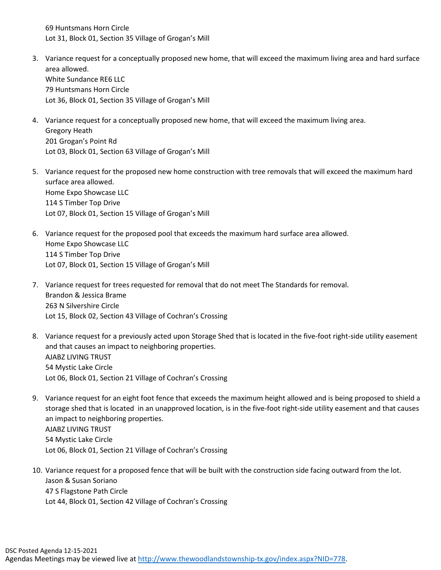69 Huntsmans Horn Circle Lot 31, Block 01, Section 35 Village of Grogan's Mill

- 3. Variance request for a conceptually proposed new home, that will exceed the maximum living area and hard surface area allowed. White Sundance RE6 LLC 79 Huntsmans Horn Circle Lot 36, Block 01, Section 35 Village of Grogan's Mill
- 4. Variance request for a conceptually proposed new home, that will exceed the maximum living area. Gregory Heath 201 Grogan's Point Rd Lot 03, Block 01, Section 63 Village of Grogan's Mill
- 5. Variance request for the proposed new home construction with tree removals that will exceed the maximum hard surface area allowed. Home Expo Showcase LLC 114 S Timber Top Drive Lot 07, Block 01, Section 15 Village of Grogan's Mill
- 6. Variance request for the proposed pool that exceeds the maximum hard surface area allowed. Home Expo Showcase LLC 114 S Timber Top Drive Lot 07, Block 01, Section 15 Village of Grogan's Mill
- 7. Variance request for trees requested for removal that do not meet The Standards for removal. Brandon & Jessica Brame 263 N Silvershire Circle Lot 15, Block 02, Section 43 Village of Cochran's Crossing
- 8. Variance request for a previously acted upon Storage Shed that is located in the five-foot right-side utility easement and that causes an impact to neighboring properties. AJABZ LIVING TRUST 54 Mystic Lake Circle Lot 06, Block 01, Section 21 Village of Cochran's Crossing
- 9. Variance request for an eight foot fence that exceeds the maximum height allowed and is being proposed to shield a storage shed that is located in an unapproved location, is in the five-foot right-side utility easement and that causes an impact to neighboring properties. AJABZ LIVING TRUST 54 Mystic Lake Circle Lot 06, Block 01, Section 21 Village of Cochran's Crossing
- 10. Variance request for a proposed fence that will be built with the construction side facing outward from the lot. Jason & Susan Soriano 47 S Flagstone Path Circle Lot 44, Block 01, Section 42 Village of Cochran's Crossing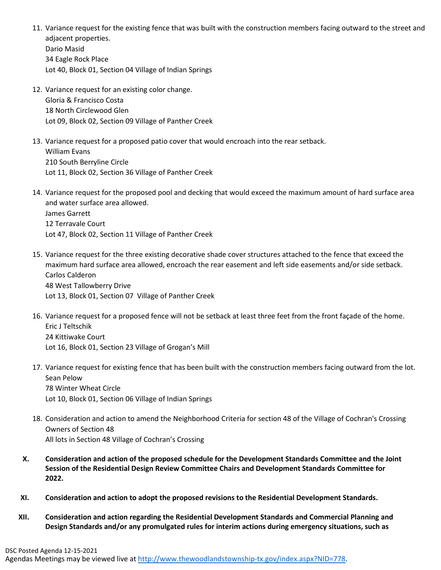- 11. Variance request for the existing fence that was built with the construction members facing outward to the street and adjacent properties. Dario Masid 34 Eagle Rock Place Lot 40, Block 01, Section 04 Village of Indian Springs
- 12. Variance request for an existing color change. Gloria & Francisco Costa 18 North Circlewood Glen Lot 09, Block 02, Section 09 Village of Panther Creek
- 13. Variance request for a proposed patio cover that would encroach into the rear setback. William Evans 210 South Berryline Circle Lot 11, Block 02, Section 36 Village of Panther Creek
- 14. Variance request for the proposed pool and decking that would exceed the maximum amount of hard surface area and water surface area allowed. James Garrett 12 Terravale Court Lot 47, Block 02, Section 11 Village of Panther Creek
- 15. Variance request for the three existing decorative shade cover structures attached to the fence that exceed the maximum hard surface area allowed, encroach the rear easement and left side easements and/or side setback. Carlos Calderon 48 West Tallowberry Drive Lot 13, Block 01, Section 07 Village of Panther Creek
- 16. Variance request for a proposed fence will not be setback at least three feet from the front façade of the home. Eric J Teltschik 24 Kittiwake Court Lot 16, Block 01, Section 23 Village of Grogan's Mill
- 17. Variance request for existing fence that has been built with the construction members facing outward from the lot. Sean Pelow 78 Winter Wheat Circle Lot 10, Block 01, Section 06 Village of Indian Springs
- 18. Consideration and action to amend the Neighborhood Criteria for section 48 of the Village of Cochran's Crossing Owners of Section 48 All lots in Section 48 Village of Cochran's Crossing
- **X. Consideration and action of the proposed schedule for the Development Standards Committee and the Joint Session of the Residential Design Review Committee Chairs and Development Standards Committee for 2022.**
- **XI. Consideration and action to adopt the proposed revisions to the Residential Development Standards.**
- **XII. Consideration and action regarding the Residential Development Standards and Commercial Planning and Design Standards and/or any promulgated rules for interim actions during emergency situations, such as**